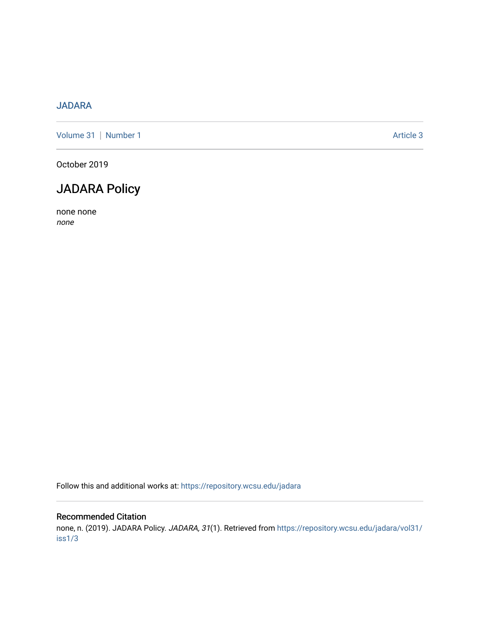## [JADARA](https://repository.wcsu.edu/jadara)

[Volume 31](https://repository.wcsu.edu/jadara/vol31) | [Number 1](https://repository.wcsu.edu/jadara/vol31/iss1) Article 3

October 2019

## JADARA Policy

none none none

Follow this and additional works at: [https://repository.wcsu.edu/jadara](https://repository.wcsu.edu/jadara?utm_source=repository.wcsu.edu%2Fjadara%2Fvol31%2Fiss1%2F3&utm_medium=PDF&utm_campaign=PDFCoverPages)

#### Recommended Citation

none, n. (2019). JADARA Policy. JADARA, 31(1). Retrieved from [https://repository.wcsu.edu/jadara/vol31/](https://repository.wcsu.edu/jadara/vol31/iss1/3?utm_source=repository.wcsu.edu%2Fjadara%2Fvol31%2Fiss1%2F3&utm_medium=PDF&utm_campaign=PDFCoverPages) [iss1/3](https://repository.wcsu.edu/jadara/vol31/iss1/3?utm_source=repository.wcsu.edu%2Fjadara%2Fvol31%2Fiss1%2F3&utm_medium=PDF&utm_campaign=PDFCoverPages)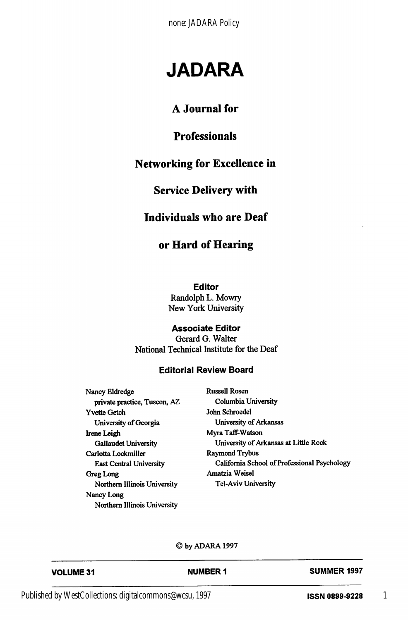none: JADARA Policy

# JADARA

## A Journal for

## Professionals

## Networking for Excellence in

#### Service Delivery with

#### Individuals who are Deaf

## or Hard of Hearing

Editor

Randolph L. Mowry New York University

#### Associate Editor

Gerard G. Walter National Technical Institute for the Deaf

#### Editorial Review Board

Nancy Eldredge Russell Rosen private practice, Tuscon, AZ Columbia University Yvette Getch John Schroedel University of Georgia University of Arkansas Irene Leigh Myra Taff-Watson Carlotta Lockmiller Raymond Trybus Greg Long **Amatzia Weisel** Northern Illinois University Tel-Aviv University Nancy Long Northern Illinois University

Gallaudet University University of Arkansas at Little Rock East Central University California School of Professional Psychology

#### ©byADARAI997

| <b>VOLUME 31</b> | <b>NUMBER 1</b> | <b>SUMMER 1997</b> |
|------------------|-----------------|--------------------|
|                  |                 |                    |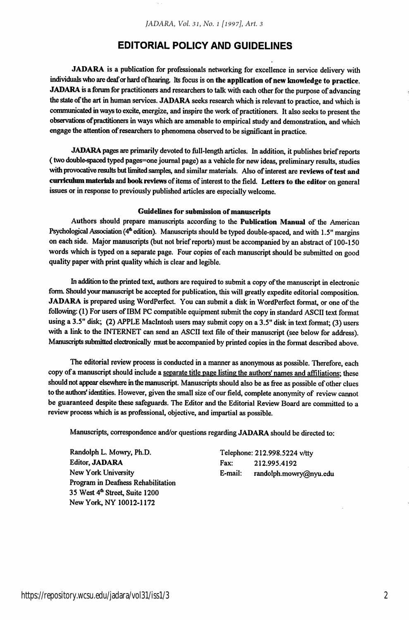#### EDITORIAL POLICY AND GUIDELINES

JADARA is a publication for professionals networking for excellence in service delivery with individuals who are deaf or hand of hearing. Its focus is on the application of new knowledge to practice. JADARA is a forum for practitioners and researchers to talk with each other for the purpose of advancing the state of the art in human services. JADARA seeks research which is relevant to practice, and which is communicated in ways to excite, energize, and inspire the work of practitioners. It also seeks to present the observations ofpractitioners in ways which are amenable to empirical study and demonstration, and which engage the attention of researchers to phenomena observed to be significant in practice.

JADARA pages are primarily devoted to full-length articles. In addition, it publishes brief reports (two double-spaced typed pages=one journal page) as a vehicle for new ideas, preliminary results, studies with provocative results but limited samples, and similar materials. Also of interest are reviews of test and curriculum materials and book reviews of items of interest to the field. Letters to the editor on general issues or in response to previously published articles are especially welcome.

#### Guidelines for submission of manuscripts

Authors should prepare manuscripts according to the Publication Manual of the American Psychological Association (4<sup>th</sup> edition). Manuscripts should be typed double-spaced, and with 1.5" margins on each side. Major manuscripts (but not brief reports) must be accompanied by an abstract of 100-150 words which is typed on a separate page. Four copies of each manuscript should be submitted on good quality paper with print quality which is clear and legible.

In addition to the printed text, authors are required to submit a copy of the manuscript in electronic form. Should your manuscript be accepted for publication, this will greatly expedite editorial composition. JADARA is prepared using WordPerfect. You can submit a disk in WordPerfect format, or one of the following: (1) For users of IBM PC compatible equipment submit the copy in standard ASCII text format using a 3.5" disk; (2) APPLE MacIntosh users may submit copy on a 3.5" disk in text format; (3) users with a link to the INTERNET can send an ASCII text file of their manuscript (see below for address). Manuscripts submitted electronically must be accompanied by printed copies in the format described above.

The editorial review process is conducted in a manner as anonymous as possible. Therefore, each copy of a manuscript should include a separate title page listing the authors' names and affiliations; these should not appear elsewhere in the manuscript. Manuscripts should also be as free as possible of other clues to the authors' identities. However, given the small size of our field, complete anonymity of review cannot be guaranteed despite these safeguards. The Editor and the Editorial Review Board are committed to a review process which is as professional, objective, and impartial as possible.

Manuscripts, correspondence and/or questions regarding JADARA should be directed to:

Randolph L. Mowry, Ph.D. Telephone: 212.998.5224 v/tty Editor, JADARA Fax: 212.995.4192 Program in Deafness Rehabilitation 35 West 4<sup>th</sup> Street, Suite 1200 New York, NY 10012-1172

New York University **E-mail:** randolph.mowry@nyu.edu